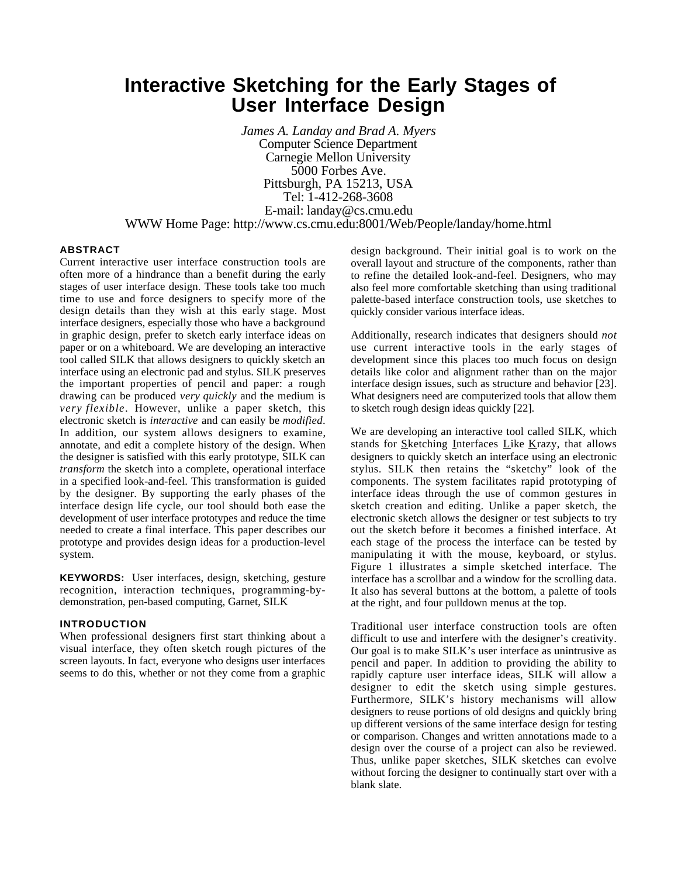# **Interactive Sketching for the Early Stages of User Interface Design**

*James A. Landay and Brad A. Myers* Computer Science Department Carnegie Mellon University 5000 Forbes Ave. Pittsburgh, PA 15213, USA Tel: 1-412-268-3608 E-mail: landay@cs.cmu.edu

WWW Home Page: http://www.cs.cmu.edu:8001/Web/People/landay/home.html

# **ABSTRACT**

Current interactive user interface construction tools are often more of a hindrance than a benefit during the early stages of user interface design. These tools take too much time to use and force designers to specify more of the design details than they wish at this early stage. Most interface designers, especially those who have a background in graphic design, prefer to sketch early interface ideas on paper or on a whiteboard. We are developing an interactive tool called SILK that allows designers to quickly sketch an interface using an electronic pad and stylus. SILK preserves the important properties of pencil and paper: a rough drawing can be produced *very quickly* and the medium is *very flexible*. However, unlike a paper sketch, this electronic sketch is *interactive* and can easily be *modified*. In addition, our system allows designers to examine, annotate, and edit a complete history of the design. When the designer is satisfied with this early prototype, SILK can *transform* the sketch into a complete, operational interface in a specified look-and-feel. This transformation is guided by the designer. By supporting the early phases of the interface design life cycle, our tool should both ease the development of user interface prototypes and reduce the time needed to create a final interface. This paper describes our prototype and provides design ideas for a production-level system.

**KEYWORDS:** User interfaces, design, sketching, gesture recognition, interaction techniques, programming-bydemonstration, pen-based computing, Garnet, SILK

#### **INTRODUCTION**

When professional designers first start thinking about a visual interface, they often sketch rough pictures of the screen layouts. In fact, everyone who designs user interfaces seems to do this, whether or not they come from a graphic

design background. Their initial goal is to work on the overall layout and structure of the components, rather than to refine the detailed look-and-feel. Designers, who may also feel more comfortable sketching than using traditional palette-based interface construction tools, use sketches to quickly consider various interface ideas.

Additionally, research indicates that designers should *not* use current interactive tools in the early stages of development since this places too much focus on design details like color and alignment rather than on the major interface design issues, such as structure and behavior [23]. What designers need are computerized tools that allow them to sketch rough design ideas quickly [22].

We are developing an interactive tool called SILK, which stands for Sketching Interfaces Like Krazy, that allows designers to quickly sketch an interface using an electronic stylus. SILK then retains the "sketchy" look of the components. The system facilitates rapid prototyping of interface ideas through the use of common gestures in sketch creation and editing. Unlike a paper sketch, the electronic sketch allows the designer or test subjects to try out the sketch before it becomes a finished interface. At each stage of the process the interface can be tested by manipulating it with the mouse, keyboard, or stylus. Figure 1 illustrates a simple sketched interface. The interface has a scrollbar and a window for the scrolling data. It also has several buttons at the bottom, a palette of tools at the right, and four pulldown menus at the top.

Traditional user interface construction tools are often difficult to use and interfere with the designer's creativity. Our goal is to make SILK's user interface as unintrusive as pencil and paper. In addition to providing the ability to rapidly capture user interface ideas, SILK will allow a designer to edit the sketch using simple gestures. Furthermore, SILK's history mechanisms will allow designers to reuse portions of old designs and quickly bring up different versions of the same interface design for testing or comparison. Changes and written annotations made to a design over the course of a project can also be reviewed. Thus, unlike paper sketches, SILK sketches can evolve without forcing the designer to continually start over with a blank slate.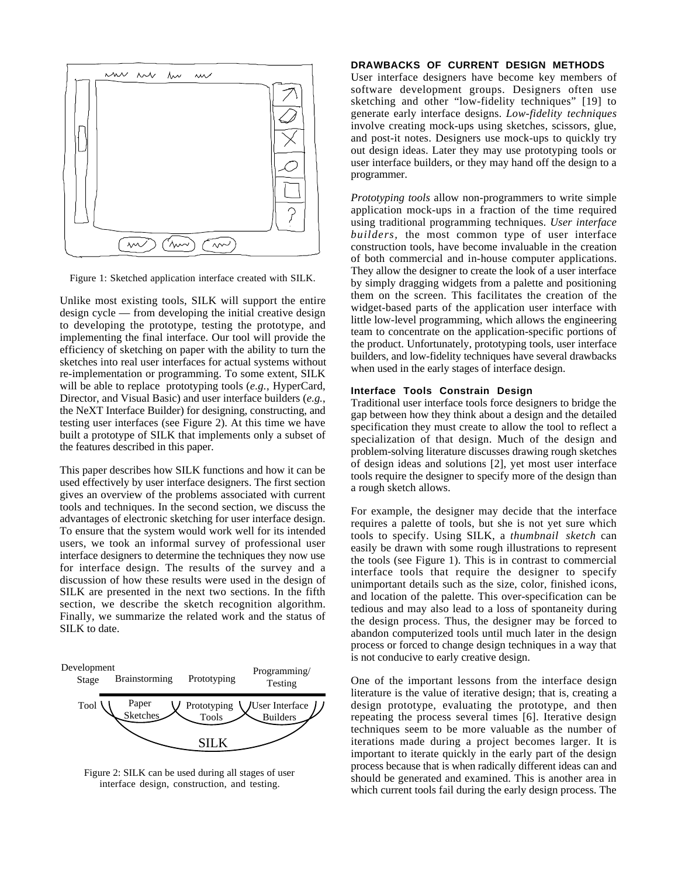

Figure 1: Sketched application interface created with SILK.

Unlike most existing tools, SILK will support the entire design cycle — from developing the initial creative design to developing the prototype, testing the prototype, and implementing the final interface. Our tool will provide the efficiency of sketching on paper with the ability to turn the sketches into real user interfaces for actual systems without re-implementation or programming. To some extent, SILK will be able to replace prototyping tools (*e.g.*, HyperCard, Director, and Visual Basic) and user interface builders (*e.g.*, the NeXT Interface Builder) for designing, constructing, and testing user interfaces (see Figure 2). At this time we have built a prototype of SILK that implements only a subset of the features described in this paper.

This paper describes how SILK functions and how it can be used effectively by user interface designers. The first section gives an overview of the problems associated with current tools and techniques. In the second section, we discuss the advantages of electronic sketching for user interface design. To ensure that the system would work well for its intended users, we took an informal survey of professional user interface designers to determine the techniques they now use for interface design. The results of the survey and a discussion of how these results were used in the design of SILK are presented in the next two sections. In the fifth section, we describe the sketch recognition algorithm. Finally, we summarize the related work and the status of SILK to date.



Figure 2: SILK can be used during all stages of user interface design, construction, and testing.

# **DRAWBACKS OF CURRENT DESIGN METHODS**

User interface designers have become key members of software development groups. Designers often use sketching and other "low-fidelity techniques" [19] to generate early interface designs. *Low-fidelity techniques* involve creating mock-ups using sketches, scissors, glue, and post-it notes. Designers use mock-ups to quickly try out design ideas. Later they may use prototyping tools or user interface builders, or they may hand off the design to a programmer.

*Prototyping tools* allow non-programmers to write simple application mock-ups in a fraction of the time required using traditional programming techniques. *User interface builders,* the most common type of user interface construction tools, have become invaluable in the creation of both commercial and in-house computer applications. They allow the designer to create the look of a user interface by simply dragging widgets from a palette and positioning them on the screen. This facilitates the creation of the widget-based parts of the application user interface with little low-level programming, which allows the engineering team to concentrate on the application-specific portions of the product. Unfortunately, prototyping tools, user interface builders, and low-fidelity techniques have several drawbacks when used in the early stages of interface design.

### **Interface Tools Constrain Design**

Traditional user interface tools force designers to bridge the gap between how they think about a design and the detailed specification they must create to allow the tool to reflect a specialization of that design. Much of the design and problem-solving literature discusses drawing rough sketches of design ideas and solutions [2], yet most user interface tools require the designer to specify more of the design than a rough sketch allows.

For example, the designer may decide that the interface requires a palette of tools, but she is not yet sure which tools to specify. Using SILK, a *thumbnail sketch* can easily be drawn with some rough illustrations to represent the tools (see Figure 1). This is in contrast to commercial interface tools that require the designer to specify unimportant details such as the size, color, finished icons, and location of the palette. This over-specification can be tedious and may also lead to a loss of spontaneity during the design process. Thus, the designer may be forced to abandon computerized tools until much later in the design process or forced to change design techniques in a way that is not conducive to early creative design.

One of the important lessons from the interface design literature is the value of iterative design; that is, creating a design prototype, evaluating the prototype, and then repeating the process several times [6]. Iterative design techniques seem to be more valuable as the number of iterations made during a project becomes larger. It is important to iterate quickly in the early part of the design process because that is when radically different ideas can and should be generated and examined. This is another area in which current tools fail during the early design process. The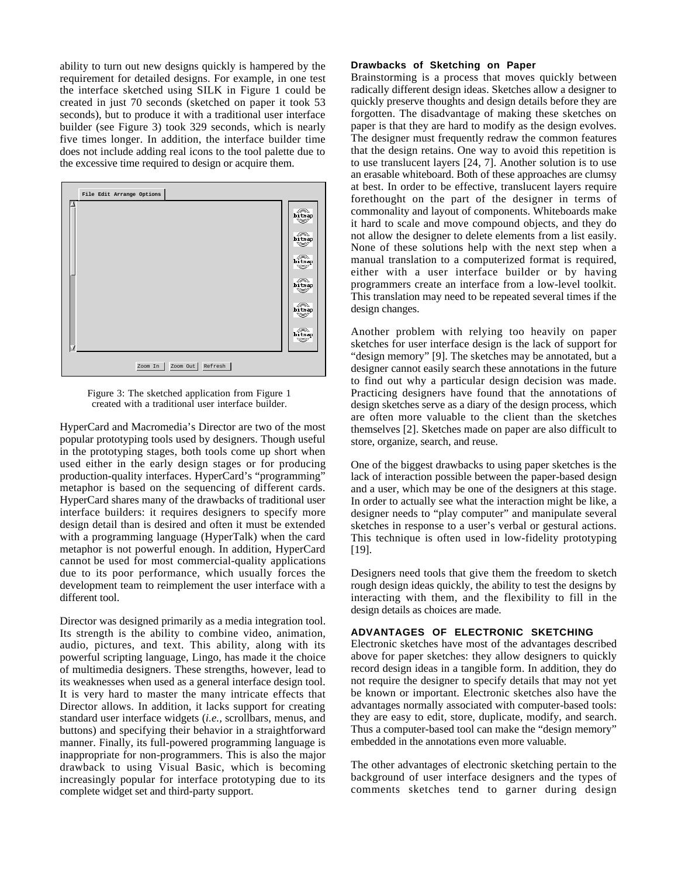ability to turn out new designs quickly is hampered by the requirement for detailed designs. For example, in one test the interface sketched using SILK in Figure 1 could be created in just 70 seconds (sketched on paper it took 53 seconds), but to produce it with a traditional user interface builder (see Figure 3) took 329 seconds, which is nearly five times longer. In addition, the interface builder time does not include adding real icons to the tool palette due to the excessive time required to design or acquire them.



Figure 3: The sketched application from Figure 1 created with a traditional user interface builder.

HyperCard and Macromedia's Director are two of the most popular prototyping tools used by designers. Though useful in the prototyping stages, both tools come up short when used either in the early design stages or for producing production-quality interfaces. HyperCard's "programming" metaphor is based on the sequencing of different cards. HyperCard shares many of the drawbacks of traditional user interface builders: it requires designers to specify more design detail than is desired and often it must be extended with a programming language (HyperTalk) when the card metaphor is not powerful enough. In addition, HyperCard cannot be used for most commercial-quality applications due to its poor performance, which usually forces the development team to reimplement the user interface with a different tool.

Director was designed primarily as a media integration tool. Its strength is the ability to combine video, animation, audio, pictures, and text. This ability, along with its powerful scripting language, Lingo, has made it the choice of multimedia designers. These strengths, however, lead to its weaknesses when used as a general interface design tool. It is very hard to master the many intricate effects that Director allows. In addition, it lacks support for creating standard user interface widgets (*i.e.,* scrollbars, menus, and buttons) and specifying their behavior in a straightforward manner. Finally, its full-powered programming language is inappropriate for non-programmers. This is also the major drawback to using Visual Basic, which is becoming increasingly popular for interface prototyping due to its complete widget set and third-party support.

#### **Drawbacks of Sketching on Paper**

Brainstorming is a process that moves quickly between radically different design ideas. Sketches allow a designer to quickly preserve thoughts and design details before they are forgotten. The disadvantage of making these sketches on paper is that they are hard to modify as the design evolves. The designer must frequently redraw the common features that the design retains. One way to avoid this repetition is to use translucent layers [24, 7]. Another solution is to use an erasable whiteboard. Both of these approaches are clumsy at best. In order to be effective, translucent layers require forethought on the part of the designer in terms of commonality and layout of components. Whiteboards make it hard to scale and move compound objects, and they do not allow the designer to delete elements from a list easily. None of these solutions help with the next step when a manual translation to a computerized format is required, either with a user interface builder or by having programmers create an interface from a low-level toolkit. This translation may need to be repeated several times if the design changes.

Another problem with relying too heavily on paper sketches for user interface design is the lack of support for "design memory" [9]. The sketches may be annotated, but a designer cannot easily search these annotations in the future to find out why a particular design decision was made. Practicing designers have found that the annotations of design sketches serve as a diary of the design process, which are often more valuable to the client than the sketches themselves [2]. Sketches made on paper are also difficult to store, organize, search, and reuse.

One of the biggest drawbacks to using paper sketches is the lack of interaction possible between the paper-based design and a user, which may be one of the designers at this stage. In order to actually see what the interaction might be like, a designer needs to "play computer" and manipulate several sketches in response to a user's verbal or gestural actions. This technique is often used in low-fidelity prototyping [19].

Designers need tools that give them the freedom to sketch rough design ideas quickly, the ability to test the designs by interacting with them, and the flexibility to fill in the design details as choices are made.

#### **ADVANTAGES OF ELECTRONIC SKETCHING**

Electronic sketches have most of the advantages described above for paper sketches: they allow designers to quickly record design ideas in a tangible form. In addition, they do not require the designer to specify details that may not yet be known or important. Electronic sketches also have the advantages normally associated with computer-based tools: they are easy to edit, store, duplicate, modify, and search. Thus a computer-based tool can make the "design memory" embedded in the annotations even more valuable.

The other advantages of electronic sketching pertain to the background of user interface designers and the types of comments sketches tend to garner during design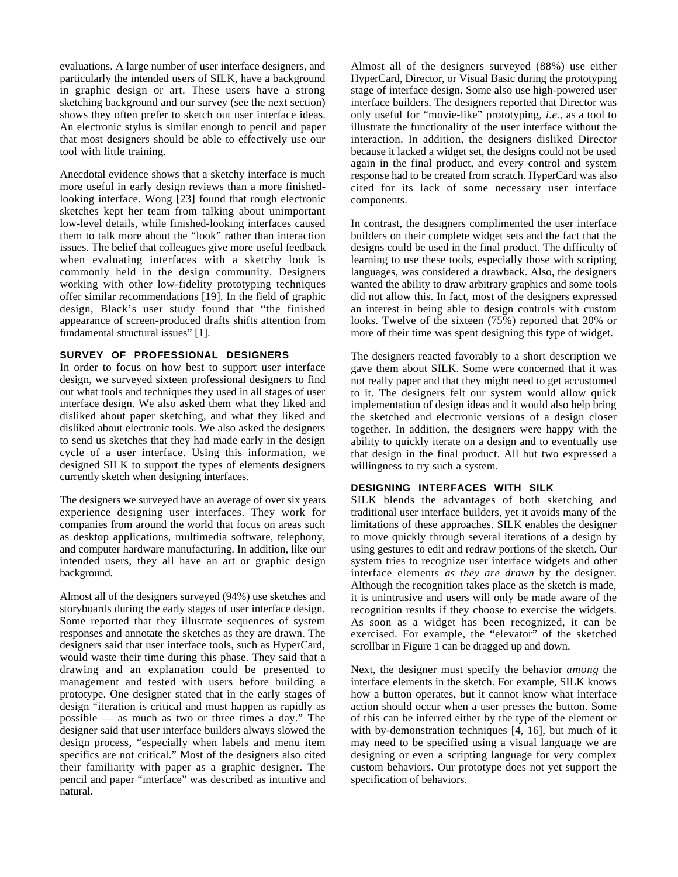evaluations. A large number of user interface designers, and particularly the intended users of SILK, have a background in graphic design or art. These users have a strong sketching background and our survey (see the next section) shows they often prefer to sketch out user interface ideas. An electronic stylus is similar enough to pencil and paper that most designers should be able to effectively use our tool with little training.

Anecdotal evidence shows that a sketchy interface is much more useful in early design reviews than a more finishedlooking interface. Wong [23] found that rough electronic sketches kept her team from talking about unimportant low-level details, while finished-looking interfaces caused them to talk more about the "look" rather than interaction issues. The belief that colleagues give more useful feedback when evaluating interfaces with a sketchy look is commonly held in the design community. Designers working with other low-fidelity prototyping techniques offer similar recommendations [19]. In the field of graphic design, Black's user study found that "the finished appearance of screen-produced drafts shifts attention from fundamental structural issues" [1].

# **SURVEY OF PROFESSIONAL DESIGNERS**

In order to focus on how best to support user interface design, we surveyed sixteen professional designers to find out what tools and techniques they used in all stages of user interface design. We also asked them what they liked and disliked about paper sketching, and what they liked and disliked about electronic tools. We also asked the designers to send us sketches that they had made early in the design cycle of a user interface. Using this information, we designed SILK to support the types of elements designers currently sketch when designing interfaces.

The designers we surveyed have an average of over six years experience designing user interfaces. They work for companies from around the world that focus on areas such as desktop applications, multimedia software, telephony, and computer hardware manufacturing. In addition, like our intended users, they all have an art or graphic design background.

Almost all of the designers surveyed (94%) use sketches and storyboards during the early stages of user interface design. Some reported that they illustrate sequences of system responses and annotate the sketches as they are drawn. The designers said that user interface tools, such as HyperCard, would waste their time during this phase. They said that a drawing and an explanation could be presented to management and tested with users before building a prototype. One designer stated that in the early stages of design "iteration is critical and must happen as rapidly as possible — as much as two or three times a day." The designer said that user interface builders always slowed the design process, "especially when labels and menu item specifics are not critical." Most of the designers also cited their familiarity with paper as a graphic designer. The pencil and paper "interface" was described as intuitive and natural.

Almost all of the designers surveyed (88%) use either HyperCard, Director, or Visual Basic during the prototyping stage of interface design. Some also use high-powered user interface builders. The designers reported that Director was only useful for "movie-like" prototyping, *i.e.*, as a tool to illustrate the functionality of the user interface without the interaction. In addition, the designers disliked Director because it lacked a widget set, the designs could not be used again in the final product, and every control and system response had to be created from scratch. HyperCard was also cited for its lack of some necessary user interface components.

In contrast, the designers complimented the user interface builders on their complete widget sets and the fact that the designs could be used in the final product. The difficulty of learning to use these tools, especially those with scripting languages, was considered a drawback. Also, the designers wanted the ability to draw arbitrary graphics and some tools did not allow this. In fact, most of the designers expressed an interest in being able to design controls with custom looks. Twelve of the sixteen (75%) reported that 20% or more of their time was spent designing this type of widget.

The designers reacted favorably to a short description we gave them about SILK. Some were concerned that it was not really paper and that they might need to get accustomed to it. The designers felt our system would allow quick implementation of design ideas and it would also help bring the sketched and electronic versions of a design closer together. In addition, the designers were happy with the ability to quickly iterate on a design and to eventually use that design in the final product. All but two expressed a willingness to try such a system.

# **DESIGNING INTERFACES WITH SILK**

SILK blends the advantages of both sketching and traditional user interface builders, yet it avoids many of the limitations of these approaches. SILK enables the designer to move quickly through several iterations of a design by using gestures to edit and redraw portions of the sketch. Our system tries to recognize user interface widgets and other interface elements *as they are drawn* by the designer. Although the recognition takes place as the sketch is made, it is unintrusive and users will only be made aware of the recognition results if they choose to exercise the widgets. As soon as a widget has been recognized, it can be exercised. For example, the "elevator" of the sketched scrollbar in Figure 1 can be dragged up and down.

Next, the designer must specify the behavior *among* the interface elements in the sketch. For example, SILK knows how a button operates, but it cannot know what interface action should occur when a user presses the button. Some of this can be inferred either by the type of the element or with by-demonstration techniques [4, 16], but much of it may need to be specified using a visual language we are designing or even a scripting language for very complex custom behaviors. Our prototype does not yet support the specification of behaviors.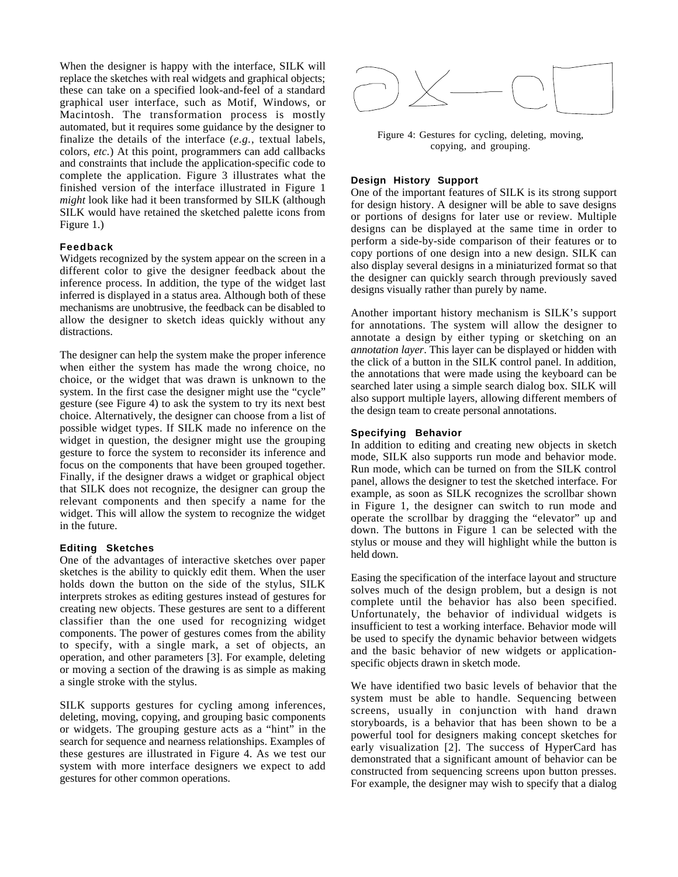When the designer is happy with the interface, SILK will replace the sketches with real widgets and graphical objects; these can take on a specified look-and-feel of a standard graphical user interface, such as Motif, Windows, or Macintosh. The transformation process is mostly automated, but it requires some guidance by the designer to finalize the details of the interface (*e.g.*, textual labels, colors, *etc.*) At this point, programmers can add callbacks and constraints that include the application-specific code to complete the application. Figure 3 illustrates what the finished version of the interface illustrated in Figure 1 *might* look like had it been transformed by SILK (although SILK would have retained the sketched palette icons from Figure 1.)

# **Feedback**

Widgets recognized by the system appear on the screen in a different color to give the designer feedback about the inference process. In addition, the type of the widget last inferred is displayed in a status area. Although both of these mechanisms are unobtrusive, the feedback can be disabled to allow the designer to sketch ideas quickly without any distractions.

The designer can help the system make the proper inference when either the system has made the wrong choice, no choice, or the widget that was drawn is unknown to the system. In the first case the designer might use the "cycle" gesture (see Figure 4) to ask the system to try its next best choice. Alternatively, the designer can choose from a list of possible widget types. If SILK made no inference on the widget in question, the designer might use the grouping gesture to force the system to reconsider its inference and focus on the components that have been grouped together. Finally, if the designer draws a widget or graphical object that SILK does not recognize, the designer can group the relevant components and then specify a name for the widget. This will allow the system to recognize the widget in the future.

#### **Editing Sketches**

One of the advantages of interactive sketches over paper sketches is the ability to quickly edit them. When the user holds down the button on the side of the stylus, SILK interprets strokes as editing gestures instead of gestures for creating new objects. These gestures are sent to a different classifier than the one used for recognizing widget components. The power of gestures comes from the ability to specify, with a single mark, a set of objects, an operation, and other parameters [3]. For example, deleting or moving a section of the drawing is as simple as making a single stroke with the stylus.

SILK supports gestures for cycling among inferences, deleting, moving, copying, and grouping basic components or widgets. The grouping gesture acts as a "hint" in the search for sequence and nearness relationships. Examples of these gestures are illustrated in Figure 4. As we test our system with more interface designers we expect to add gestures for other common operations.



Figure 4: Gestures for cycling, deleting, moving, copying, and grouping.

#### **Design History Support**

One of the important features of SILK is its strong support for design history. A designer will be able to save designs or portions of designs for later use or review. Multiple designs can be displayed at the same time in order to perform a side-by-side comparison of their features or to copy portions of one design into a new design. SILK can also display several designs in a miniaturized format so that the designer can quickly search through previously saved designs visually rather than purely by name.

Another important history mechanism is SILK's support for annotations. The system will allow the designer to annotate a design by either typing or sketching on an *annotation layer*. This layer can be displayed or hidden with the click of a button in the SILK control panel. In addition, the annotations that were made using the keyboard can be searched later using a simple search dialog box. SILK will also support multiple layers, allowing different members of the design team to create personal annotations.

#### **Specifying Behavior**

In addition to editing and creating new objects in sketch mode, SILK also supports run mode and behavior mode. Run mode, which can be turned on from the SILK control panel, allows the designer to test the sketched interface. For example, as soon as SILK recognizes the scrollbar shown in Figure 1, the designer can switch to run mode and operate the scrollbar by dragging the "elevator" up and down. The buttons in Figure 1 can be selected with the stylus or mouse and they will highlight while the button is held down.

Easing the specification of the interface layout and structure solves much of the design problem, but a design is not complete until the behavior has also been specified. Unfortunately, the behavior of individual widgets is insufficient to test a working interface. Behavior mode will be used to specify the dynamic behavior between widgets and the basic behavior of new widgets or applicationspecific objects drawn in sketch mode.

We have identified two basic levels of behavior that the system must be able to handle. Sequencing between screens, usually in conjunction with hand drawn storyboards, is a behavior that has been shown to be a powerful tool for designers making concept sketches for early visualization [2]. The success of HyperCard has demonstrated that a significant amount of behavior can be constructed from sequencing screens upon button presses. For example, the designer may wish to specify that a dialog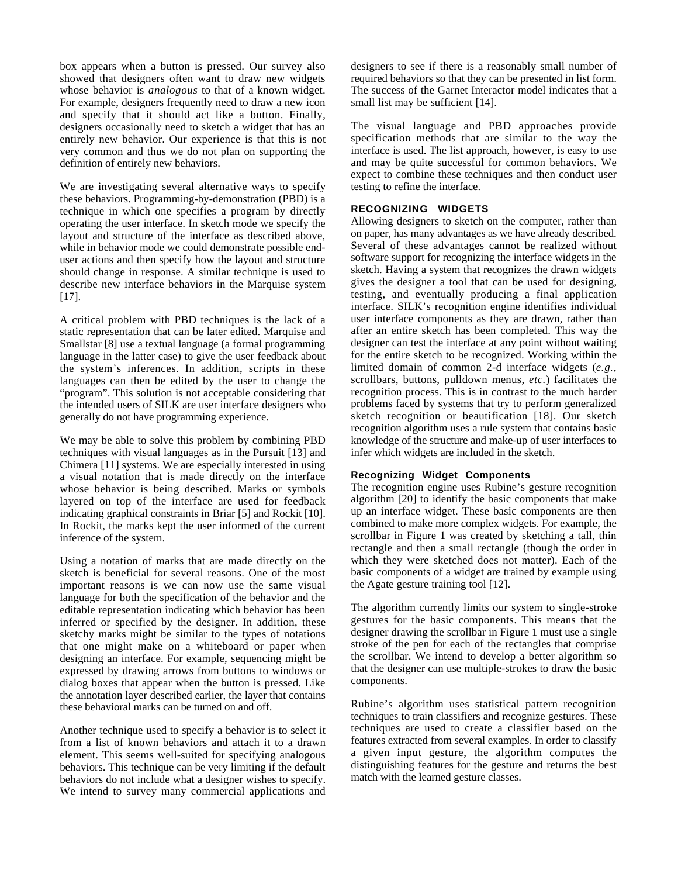box appears when a button is pressed. Our survey also showed that designers often want to draw new widgets whose behavior is *analogous* to that of a known widget. For example, designers frequently need to draw a new icon and specify that it should act like a button. Finally, designers occasionally need to sketch a widget that has an entirely new behavior. Our experience is that this is not very common and thus we do not plan on supporting the definition of entirely new behaviors.

We are investigating several alternative ways to specify these behaviors. Programming-by-demonstration (PBD) is a technique in which one specifies a program by directly operating the user interface. In sketch mode we specify the layout and structure of the interface as described above, while in behavior mode we could demonstrate possible enduser actions and then specify how the layout and structure should change in response. A similar technique is used to describe new interface behaviors in the Marquise system [17].

A critical problem with PBD techniques is the lack of a static representation that can be later edited. Marquise and Smallstar [8] use a textual language (a formal programming language in the latter case) to give the user feedback about the system's inferences. In addition, scripts in these languages can then be edited by the user to change the "program". This solution is not acceptable considering that the intended users of SILK are user interface designers who generally do not have programming experience.

We may be able to solve this problem by combining PBD techniques with visual languages as in the Pursuit [13] and Chimera [11] systems. We are especially interested in using a visual notation that is made directly on the interface whose behavior is being described. Marks or symbols layered on top of the interface are used for feedback indicating graphical constraints in Briar [5] and Rockit [10]. In Rockit, the marks kept the user informed of the current inference of the system.

Using a notation of marks that are made directly on the sketch is beneficial for several reasons. One of the most important reasons is we can now use the same visual language for both the specification of the behavior and the editable representation indicating which behavior has been inferred or specified by the designer. In addition, these sketchy marks might be similar to the types of notations that one might make on a whiteboard or paper when designing an interface. For example, sequencing might be expressed by drawing arrows from buttons to windows or dialog boxes that appear when the button is pressed. Like the annotation layer described earlier, the layer that contains these behavioral marks can be turned on and off.

Another technique used to specify a behavior is to select it from a list of known behaviors and attach it to a drawn element. This seems well-suited for specifying analogous behaviors. This technique can be very limiting if the default behaviors do not include what a designer wishes to specify. We intend to survey many commercial applications and designers to see if there is a reasonably small number of required behaviors so that they can be presented in list form. The success of the Garnet Interactor model indicates that a small list may be sufficient [14].

The visual language and PBD approaches provide specification methods that are similar to the way the interface is used. The list approach, however, is easy to use and may be quite successful for common behaviors. We expect to combine these techniques and then conduct user testing to refine the interface.

# **RECOGNIZING WIDGETS**

Allowing designers to sketch on the computer, rather than on paper, has many advantages as we have already described. Several of these advantages cannot be realized without software support for recognizing the interface widgets in the sketch. Having a system that recognizes the drawn widgets gives the designer a tool that can be used for designing, testing, and eventually producing a final application interface. SILK's recognition engine identifies individual user interface components as they are drawn, rather than after an entire sketch has been completed. This way the designer can test the interface at any point without waiting for the entire sketch to be recognized. Working within the limited domain of common 2-d interface widgets (*e.g.*, scrollbars, buttons, pulldown menus, *etc.*) facilitates the recognition process. This is in contrast to the much harder problems faced by systems that try to perform generalized sketch recognition or beautification [18]. Our sketch recognition algorithm uses a rule system that contains basic knowledge of the structure and make-up of user interfaces to infer which widgets are included in the sketch.

# **Recognizing Widget Components**

The recognition engine uses Rubine's gesture recognition algorithm [20] to identify the basic components that make up an interface widget. These basic components are then combined to make more complex widgets. For example, the scrollbar in Figure 1 was created by sketching a tall, thin rectangle and then a small rectangle (though the order in which they were sketched does not matter). Each of the basic components of a widget are trained by example using the Agate gesture training tool [12].

The algorithm currently limits our system to single-stroke gestures for the basic components. This means that the designer drawing the scrollbar in Figure 1 must use a single stroke of the pen for each of the rectangles that comprise the scrollbar. We intend to develop a better algorithm so that the designer can use multiple-strokes to draw the basic components.

Rubine's algorithm uses statistical pattern recognition techniques to train classifiers and recognize gestures. These techniques are used to create a classifier based on the features extracted from several examples. In order to classify a given input gesture, the algorithm computes the distinguishing features for the gesture and returns the best match with the learned gesture classes.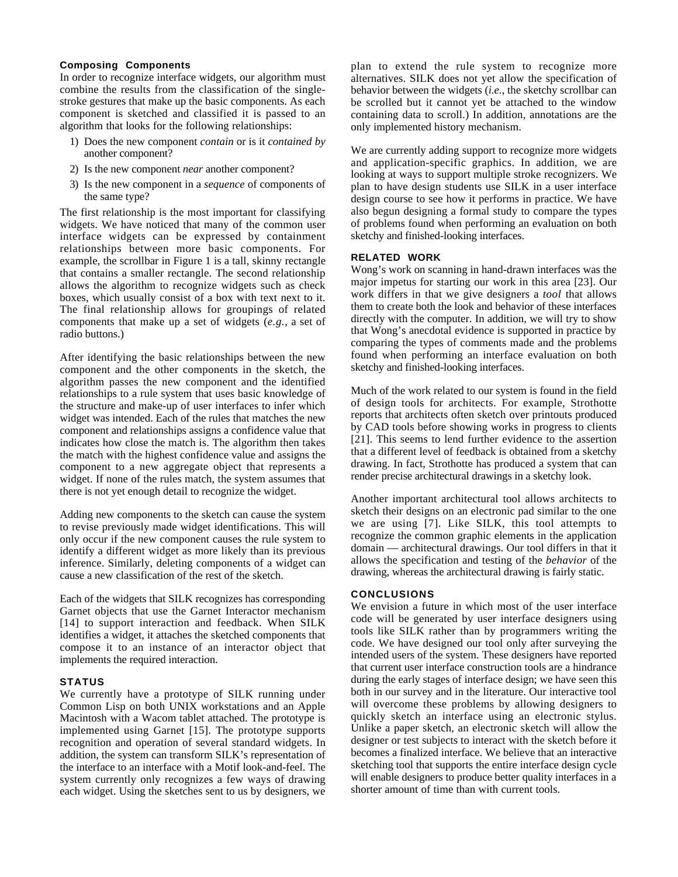#### **Composing Components**

In order to recognize interface widgets, our algorithm must combine the results from the classification of the singlestroke gestures that make up the basic components. As each component is sketched and classified it is passed to an algorithm that looks for the following relationships:

- 1) Does the new component *contain* or is it *contained by* another component?
- 2) Is the new component *near* another component?
- 3) Is the new component in a *sequence* of components of the same type?

The first relationship is the most important for classifying widgets. We have noticed that many of the common user interface widgets can be expressed by containment relationships between more basic components. For example, the scrollbar in Figure 1 is a tall, skinny rectangle that contains a smaller rectangle. The second relationship allows the algorithm to recognize widgets such as check boxes, which usually consist of a box with text next to it. The final relationship allows for groupings of related components that make up a set of widgets (*e.g.*, a set of radio buttons.)

After identifying the basic relationships between the new component and the other components in the sketch, the algorithm passes the new component and the identified relationships to a rule system that uses basic knowledge of the structure and make-up of user interfaces to infer which widget was intended. Each of the rules that matches the new component and relationships assigns a confidence value that indicates how close the match is. The algorithm then takes the match with the highest confidence value and assigns the component to a new aggregate object that represents a widget. If none of the rules match, the system assumes that there is not yet enough detail to recognize the widget.

Adding new components to the sketch can cause the system to revise previously made widget identifications. This will only occur if the new component causes the rule system to identify a different widget as more likely than its previous inference. Similarly, deleting components of a widget can cause a new classification of the rest of the sketch.

Each of the widgets that SILK recognizes has corresponding Garnet objects that use the Garnet Interactor mechanism [14] to support interaction and feedback. When SILK identifies a widget, it attaches the sketched components that compose it to an instance of an interactor object that implements the required interaction.

# **STATUS**

We currently have a prototype of SILK running under Common Lisp on both UNIX workstations and an Apple Macintosh with a Wacom tablet attached. The prototype is implemented using Garnet [15]. The prototype supports recognition and operation of several standard widgets. In addition, the system can transform SILK's representation of the interface to an interface with a Motif look-and-feel. The system currently only recognizes a few ways of drawing each widget. Using the sketches sent to us by designers, we

plan to extend the rule system to recognize more alternatives. SILK does not yet allow the specification of behavior between the widgets (*i.e.*, the sketchy scrollbar can be scrolled but it cannot yet be attached to the window containing data to scroll.) In addition, annotations are the only implemented history mechanism.

We are currently adding support to recognize more widgets and application-specific graphics. In addition, we are looking at ways to support multiple stroke recognizers. We plan to have design students use SILK in a user interface design course to see how it performs in practice. We have also begun designing a formal study to compare the types of problems found when performing an evaluation on both sketchy and finished-looking interfaces.

# **RELATED WORK**

Wong's work on scanning in hand-drawn interfaces was the major impetus for starting our work in this area [23]. Our work differs in that we give designers a *tool* that allows them to create both the look and behavior of these interfaces directly with the computer. In addition, we will try to show that Wong's anecdotal evidence is supported in practice by comparing the types of comments made and the problems found when performing an interface evaluation on both sketchy and finished-looking interfaces.

Much of the work related to our system is found in the field of design tools for architects. For example, Strothotte reports that architects often sketch over printouts produced by CAD tools before showing works in progress to clients [21]. This seems to lend further evidence to the assertion that a different level of feedback is obtained from a sketchy drawing. In fact, Strothotte has produced a system that can render precise architectural drawings in a sketchy look.

Another important architectural tool allows architects to sketch their designs on an electronic pad similar to the one we are using [7]. Like SILK, this tool attempts to recognize the common graphic elements in the application domain — architectural drawings. Our tool differs in that it allows the specification and testing of the *behavior* of the drawing, whereas the architectural drawing is fairly static.

# **CONCLUSIONS**

We envision a future in which most of the user interface code will be generated by user interface designers using tools like SILK rather than by programmers writing the code. We have designed our tool only after surveying the intended users of the system. These designers have reported that current user interface construction tools are a hindrance during the early stages of interface design; we have seen this both in our survey and in the literature. Our interactive tool will overcome these problems by allowing designers to quickly sketch an interface using an electronic stylus. Unlike a paper sketch, an electronic sketch will allow the designer or test subjects to interact with the sketch before it becomes a finalized interface. We believe that an interactive sketching tool that supports the entire interface design cycle will enable designers to produce better quality interfaces in a shorter amount of time than with current tools.